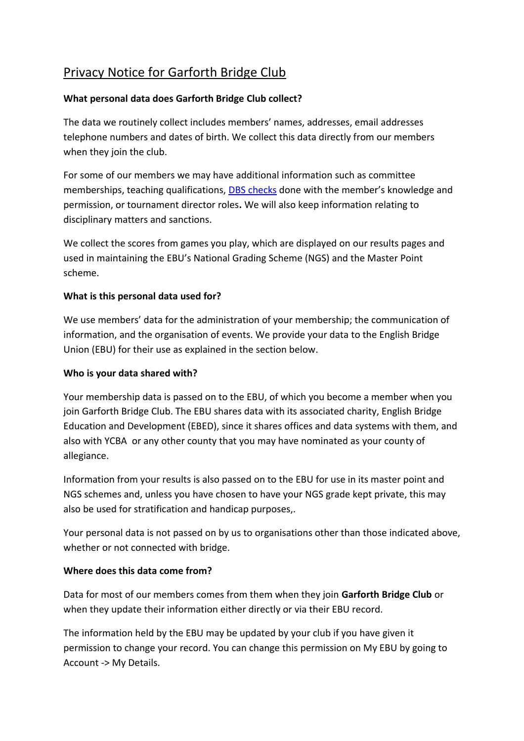# Privacy Notice for Garforth Bridge Club

# **What personal data does Garforth Bridge Club collect?**

The data we routinely collect includes members' names, addresses, email addresses telephone numbers and dates of birth. We collect this data directly from our members when they join the club.

For some of our members we may have additional information such as committee memberships, teaching qualifications, [DBS checks](https://www.gov.uk/dbs-check-applicant-criminal-record) done with the member's knowledge and permission, or tournament director roles**.** We will also keep information relating to disciplinary matters and sanctions.

We collect the scores from games you play, which are displayed on our results pages and used in maintaining the EBU's National Grading Scheme (NGS) and the Master Point scheme.

## **What is this personal data used for?**

We use members' data for the administration of your membership; the communication of information, and the organisation of events. We provide your data to the English Bridge Union (EBU) for their use as explained in the section below.

## **Who is your data shared with?**

Your membership data is passed on to the EBU, of which you become a member when you join Garforth Bridge Club. The EBU shares data with its associated charity, English Bridge Education and Development (EBED), since it shares offices and data systems with them, and also with YCBA or any other county that you may have nominated as your county of allegiance.

Information from your results is also passed on to the EBU for use in its master point and NGS schemes and, unless you have chosen to have your NGS grade kept private, this may also be used for stratification and handicap purposes,.

Your personal data is not passed on by us to organisations other than those indicated above, whether or not connected with bridge.

## **Where does this data come from?**

Data for most of our members comes from them when they join **Garforth Bridge Club** or when they update their information either directly or via their EBU record.

The information held by the EBU may be updated by your club if you have given it permission to change your record. You can change this permission on My EBU by going to Account -> My Details.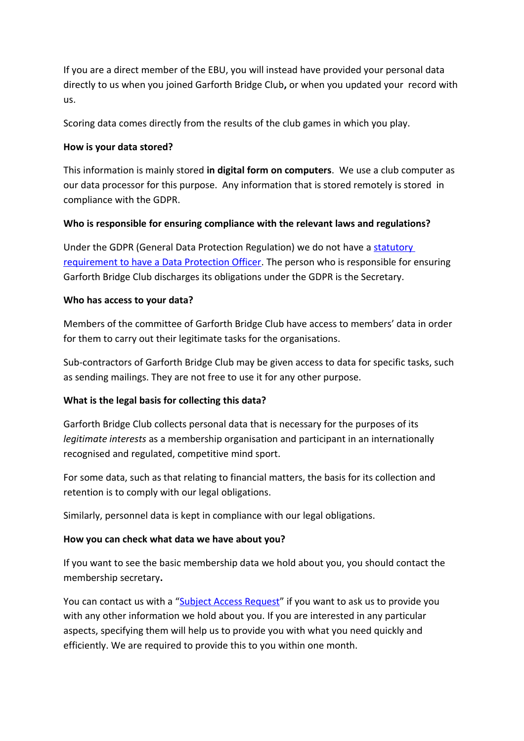If you are a direct member of the EBU, you will instead have provided your personal data directly to us when you joined Garforth Bridge Club**,** or when you updated your record with us.

Scoring data comes directly from the results of the club games in which you play.

#### **How is your data stored?**

This information is mainly stored **in digital form on computers**. We use a club computer as our data processor for this purpose. Any information that is stored remotely is stored in compliance with the GDPR.

#### **Who is responsible for ensuring compliance with the relevant laws and regulations?**

Under the GDPR (General Data Protection Regulation) we do not have a [statutory](https://ico.org.uk/for-organisations/guide-to-the-general-data-protection-regulation-gdpr/accountability-and-governance/data-protection-officers/)  [requirement to have a Data Protection Officer.](https://ico.org.uk/for-organisations/guide-to-the-general-data-protection-regulation-gdpr/accountability-and-governance/data-protection-officers/) The person who is responsible for ensuring Garforth Bridge Club discharges its obligations under the GDPR is the Secretary.

#### **Who has access to your data?**

Members of the committee of Garforth Bridge Club have access to members' data in order for them to carry out their legitimate tasks for the organisations.

Sub-contractors of Garforth Bridge Club may be given access to data for specific tasks, such as sending mailings. They are not free to use it for any other purpose.

## **What is the legal basis for collecting this data?**

Garforth Bridge Club collects personal data that is necessary for the purposes of its *legitimate interests* as a membership organisation and participant in an internationally recognised and regulated, competitive mind sport.

For some data, such as that relating to financial matters, the basis for its collection and retention is to comply with our legal obligations.

Similarly, personnel data is kept in compliance with our legal obligations.

## **How you can check what data we have about you?**

If you want to see the basic membership data we hold about you, you should contact the membership secretary**.**

You can contact us with a ["Subject Access Request"](https://ico.org.uk/for-the-public/personal-information/) if you want to ask us to provide you with any other information we hold about you. If you are interested in any particular aspects, specifying them will help us to provide you with what you need quickly and efficiently. We are required to provide this to you within one month.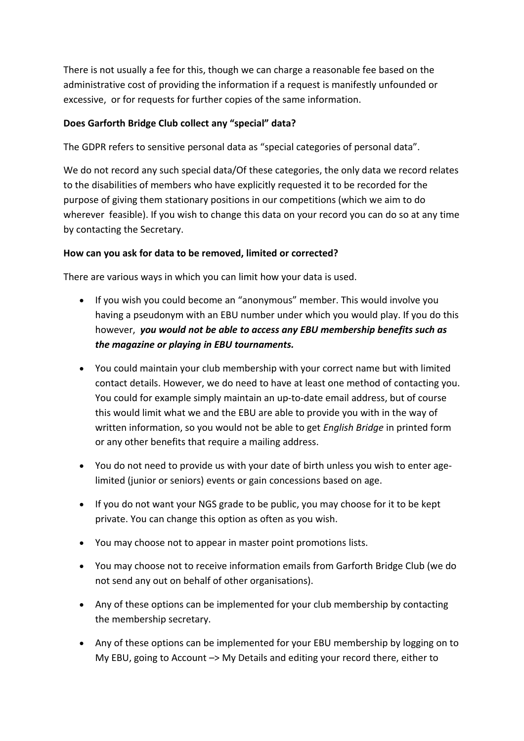There is not usually a fee for this, though we can charge a reasonable fee based on the administrative cost of providing the information if a request is manifestly unfounded or excessive, or for requests for further copies of the same information.

# **Does Garforth Bridge Club collect any "special" data?**

The GDPR refers to sensitive personal data as "special categories of personal data".

We do not record any such special data/Of these categories, the only data we record relates to the disabilities of members who have explicitly requested it to be recorded for the purpose of giving them stationary positions in our competitions (which we aim to do wherever feasible). If you wish to change this data on your record you can do so at any time by contacting the Secretary.

# **How can you ask for data to be removed, limited or corrected?**

There are various ways in which you can limit how your data is used.

- If you wish you could become an "anonymous" member. This would involve you having a pseudonym with an EBU number under which you would play. If you do this however, *you would not be able to access any EBU membership benefits such as the magazine or playing in EBU tournaments.*
- You could maintain your club membership with your correct name but with limited contact details. However, we do need to have at least one method of contacting you. You could for example simply maintain an up-to-date email address, but of course this would limit what we and the EBU are able to provide you with in the way of written information, so you would not be able to get *English Bridge* in printed form or any other benefits that require a mailing address.
- You do not need to provide us with your date of birth unless you wish to enter agelimited (junior or seniors) events or gain concessions based on age.
- If you do not want your NGS grade to be public, you may choose for it to be kept private. You can change this option as often as you wish.
- You may choose not to appear in master point promotions lists.
- You may choose not to receive information emails from Garforth Bridge Club (we do not send any out on behalf of other organisations).
- Any of these options can be implemented for your club membership by contacting the membership secretary.
- Any of these options can be implemented for your EBU membership by logging on to My EBU, going to Account –> My Details and editing your record there, either to